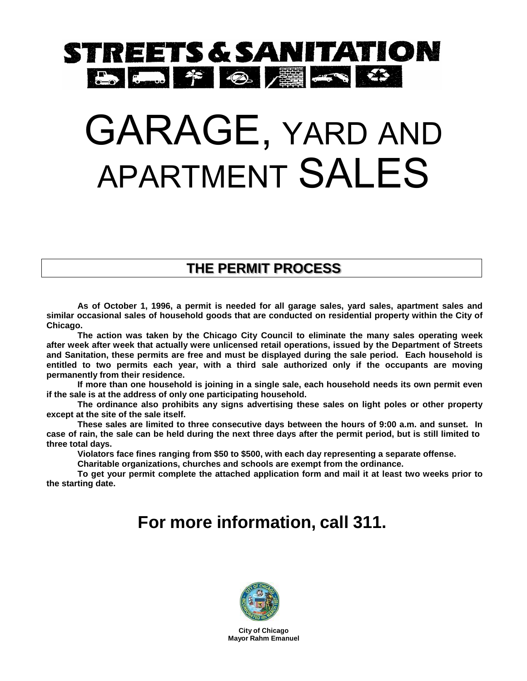# STREETS & SANITATION B 5 7 8 2 5 4 3

# GARAGE, YARD AND APARTMENT SALES

#### **THE PERMIT PROCESS**

**As of October 1, 1996, a permit is needed for all garage sales, yard sales, apartment sales and similar occasional sales of household goods that are conducted on residential property within the City of Chicago.**

**The action was taken by the Chicago City Council to eliminate the many sales operating week after week after week that actually were unlicensed retail operations, issued by the Department of Streets and Sanitation, these permits are free and must be displayed during the sale period. Each household is entitled to two permits each year, with a third sale authorized only if the occupants are moving permanently from their residence.**

**If more than one household is joining in a single sale, each household needs its own permit even if the sale is at the address of only one participating household.**

**The ordinance also prohibits any signs advertising these sales on light poles or other property except at the site of the sale itself.**

**These sales are limited to three consecutive days between the hours of 9:00 a.m. and sunset. In**  case of rain, the sale can be held during the next three days after the permit period, but is still limited to **three total days.**

**Violators face fines ranging from \$50 to \$500, with each day representing a separate offense.** 

**Charitable organizations, churches and schools are exempt from the ordinance.**

**To get your permit complete the attached application form and mail it at least two weeks prior to the starting date.**

## **For more information, call 311.**



**City of Chicago Mayor Rahm Emanuel**